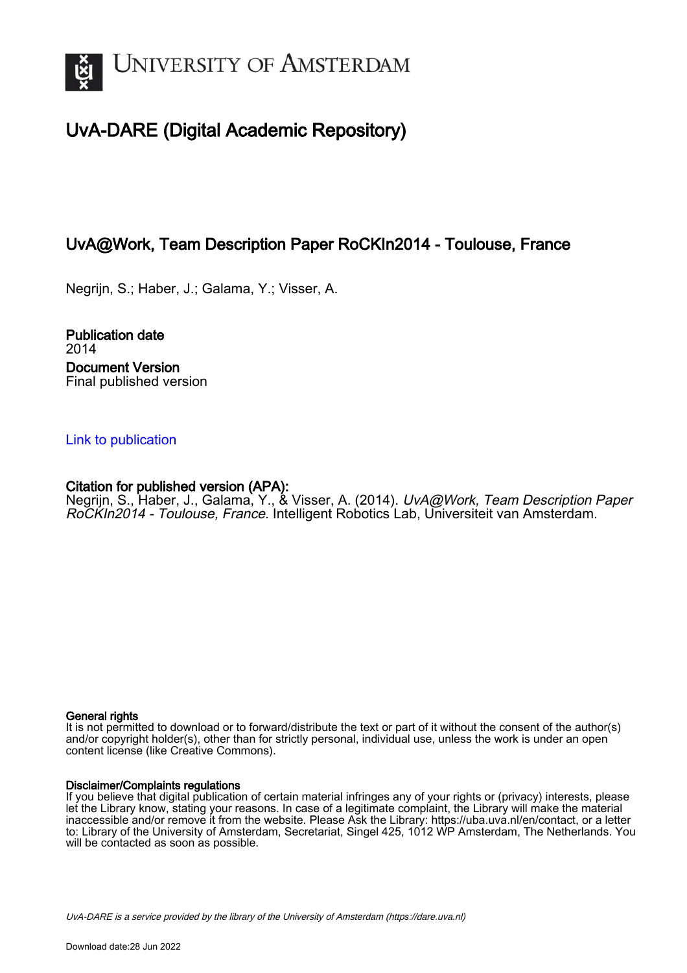

# UvA-DARE (Digital Academic Repository)

# UvA@Work, Team Description Paper RoCKIn2014 - Toulouse, France

Negrijn, S.; Haber, J.; Galama, Y.; Visser, A.

Publication date 2014 Document Version Final published version

## [Link to publication](https://dare.uva.nl/personal/pure/en/publications/uvawork-team-description-paper-rockin2014--toulouse-france(d815ec9f-d576-4951-adfa-135bbc6a1ab7).html)

## Citation for published version (APA):

Negrijn, S., Haber, J., Galama, Y., & Visser, A. (2014). *UvA@Work, Team Description Paper* RoCKIn2014 - Toulouse, France. Intelligent Robotics Lab, Universiteit van Amsterdam.

#### General rights

It is not permitted to download or to forward/distribute the text or part of it without the consent of the author(s) and/or copyright holder(s), other than for strictly personal, individual use, unless the work is under an open content license (like Creative Commons).

### Disclaimer/Complaints regulations

If you believe that digital publication of certain material infringes any of your rights or (privacy) interests, please let the Library know, stating your reasons. In case of a legitimate complaint, the Library will make the material inaccessible and/or remove it from the website. Please Ask the Library: https://uba.uva.nl/en/contact, or a letter to: Library of the University of Amsterdam, Secretariat, Singel 425, 1012 WP Amsterdam, The Netherlands. You will be contacted as soon as possible.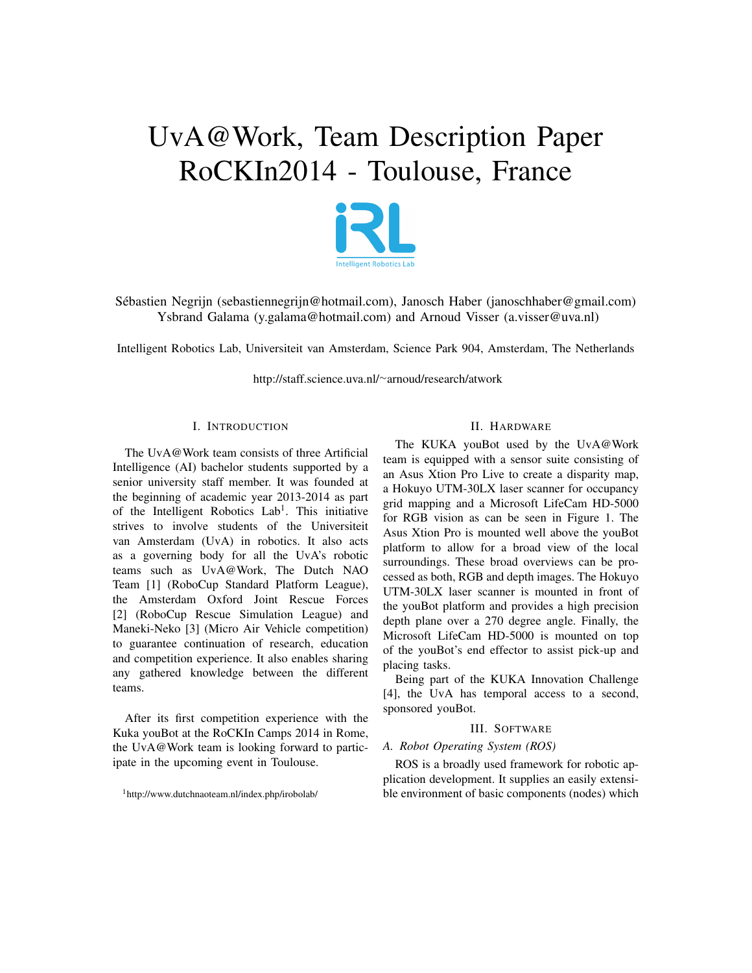# UvA@Work, Team Description Paper RoCKIn2014 - Toulouse, France



Sebastien Negrijn (sebastiennegrijn@hotmail.com), Janosch Haber (janoschhaber@gmail.com) ´ Ysbrand Galama (y.galama@hotmail.com) and Arnoud Visser (a.visser@uva.nl)

Intelligent Robotics Lab, Universiteit van Amsterdam, Science Park 904, Amsterdam, The Netherlands

http://staff.science.uva.nl/<sup>∼</sup>arnoud/research/atwork

#### I. INTRODUCTION

The UvA@Work team consists of three Artificial Intelligence (AI) bachelor students supported by a senior university staff member. It was founded at the beginning of academic year 2013-2014 as part of the Intelligent Robotics Lab<sup>1</sup>. This initiative strives to involve students of the Universiteit van Amsterdam (UvA) in robotics. It also acts as a governing body for all the UvA's robotic teams such as UvA@Work, The Dutch NAO Team [1] (RoboCup Standard Platform League), the Amsterdam Oxford Joint Rescue Forces [2] (RoboCup Rescue Simulation League) and Maneki-Neko [3] (Micro Air Vehicle competition) to guarantee continuation of research, education and competition experience. It also enables sharing any gathered knowledge between the different teams.

After its first competition experience with the Kuka youBot at the RoCKIn Camps 2014 in Rome, the UvA@Work team is looking forward to participate in the upcoming event in Toulouse.

<sup>1</sup>http://www.dutchnaoteam.nl/index.php/irobolab/

#### II. HARDWARE

The KUKA youBot used by the UvA@Work team is equipped with a sensor suite consisting of an Asus Xtion Pro Live to create a disparity map, a Hokuyo UTM-30LX laser scanner for occupancy grid mapping and a Microsoft LifeCam HD-5000 for RGB vision as can be seen in Figure 1. The Asus Xtion Pro is mounted well above the youBot platform to allow for a broad view of the local surroundings. These broad overviews can be processed as both, RGB and depth images. The Hokuyo UTM-30LX laser scanner is mounted in front of the youBot platform and provides a high precision depth plane over a 270 degree angle. Finally, the Microsoft LifeCam HD-5000 is mounted on top of the youBot's end effector to assist pick-up and placing tasks.

Being part of the KUKA Innovation Challenge [4], the UvA has temporal access to a second, sponsored youBot.

#### III. SOFTWARE

#### *A. Robot Operating System (ROS)*

ROS is a broadly used framework for robotic application development. It supplies an easily extensible environment of basic components (nodes) which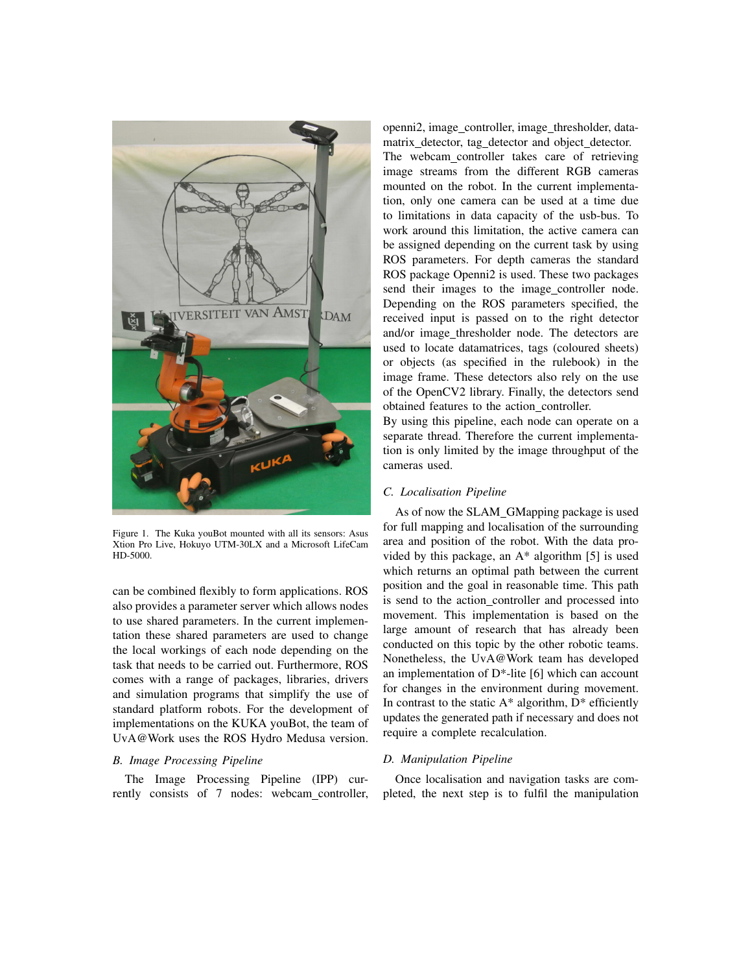

Figure 1. The Kuka youBot mounted with all its sensors: Asus Xtion Pro Live, Hokuyo UTM-30LX and a Microsoft LifeCam HD-5000.

can be combined flexibly to form applications. ROS also provides a parameter server which allows nodes to use shared parameters. In the current implementation these shared parameters are used to change the local workings of each node depending on the task that needs to be carried out. Furthermore, ROS comes with a range of packages, libraries, drivers and simulation programs that simplify the use of standard platform robots. For the development of implementations on the KUKA youBot, the team of UvA@Work uses the ROS Hydro Medusa version.

#### *B. Image Processing Pipeline*

The Image Processing Pipeline (IPP) currently consists of 7 nodes: webcam controller,

openni2, image\_controller, image\_thresholder, datamatrix detector, tag detector and object detector. The webcam controller takes care of retrieving image streams from the different RGB cameras mounted on the robot. In the current implementation, only one camera can be used at a time due to limitations in data capacity of the usb-bus. To work around this limitation, the active camera can be assigned depending on the current task by using ROS parameters. For depth cameras the standard ROS package Openni2 is used. These two packages send their images to the image controller node. Depending on the ROS parameters specified, the received input is passed on to the right detector and/or image thresholder node. The detectors are used to locate datamatrices, tags (coloured sheets) or objects (as specified in the rulebook) in the image frame. These detectors also rely on the use of the OpenCV2 library. Finally, the detectors send obtained features to the action\_controller.

By using this pipeline, each node can operate on a separate thread. Therefore the current implementation is only limited by the image throughput of the cameras used.

#### *C. Localisation Pipeline*

As of now the SLAM GMapping package is used for full mapping and localisation of the surrounding area and position of the robot. With the data provided by this package, an  $A^*$  algorithm [5] is used which returns an optimal path between the current position and the goal in reasonable time. This path is send to the action controller and processed into movement. This implementation is based on the large amount of research that has already been conducted on this topic by the other robotic teams. Nonetheless, the UvA@Work team has developed an implementation of D\*-lite [6] which can account for changes in the environment during movement. In contrast to the static  $A^*$  algorithm,  $D^*$  efficiently updates the generated path if necessary and does not require a complete recalculation.

#### *D. Manipulation Pipeline*

Once localisation and navigation tasks are completed, the next step is to fulfil the manipulation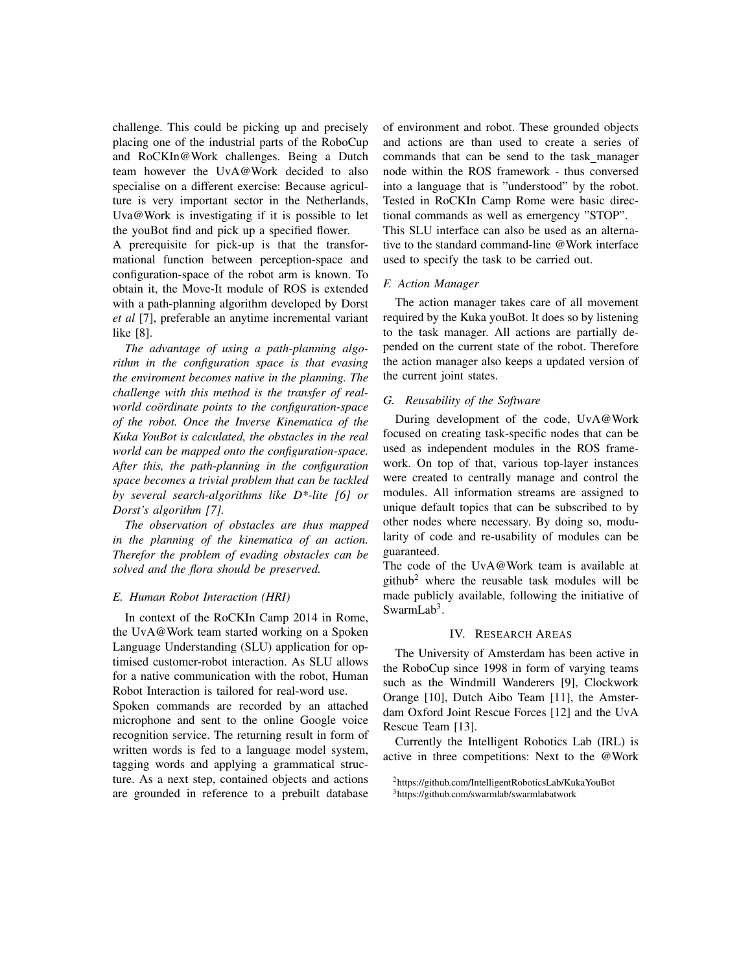challenge. This could be picking up and precisely placing one of the industrial parts of the RoboCup and RoCKIn@Work challenges. Being a Dutch team however the UvA@Work decided to also specialise on a different exercise: Because agriculture is very important sector in the Netherlands, Uva@Work is investigating if it is possible to let the youBot find and pick up a specified flower.

A prerequisite for pick-up is that the transformational function between perception-space and configuration-space of the robot arm is known. To obtain it, the Move-It module of ROS is extended with a path-planning algorithm developed by Dorst *et al* [7], preferable an anytime incremental variant like [8].

*The advantage of using a path-planning algorithm in the configuration space is that evasing the enviroment becomes native in the planning. The challenge with this method is the transfer of realworld coördinate points to the configuration-space of the robot. Once the Inverse Kinematica of the Kuka YouBot is calculated, the obstacles in the real world can be mapped onto the configuration-space. After this, the path-planning in the configuration space becomes a trivial problem that can be tackled by several search-algorithms like D\*-lite [6] or Dorst's algorithm [7].*

*The observation of obstacles are thus mapped in the planning of the kinematica of an action. Therefor the problem of evading obstacles can be solved and the flora should be preserved.*

#### *E. Human Robot Interaction (HRI)*

In context of the RoCKIn Camp 2014 in Rome, the UvA@Work team started working on a Spoken Language Understanding (SLU) application for optimised customer-robot interaction. As SLU allows for a native communication with the robot, Human Robot Interaction is tailored for real-word use.

Spoken commands are recorded by an attached microphone and sent to the online Google voice recognition service. The returning result in form of written words is fed to a language model system, tagging words and applying a grammatical structure. As a next step, contained objects and actions are grounded in reference to a prebuilt database of environment and robot. These grounded objects and actions are than used to create a series of commands that can be send to the task manager node within the ROS framework - thus conversed into a language that is "understood" by the robot. Tested in RoCKIn Camp Rome were basic directional commands as well as emergency "STOP". This SLU interface can also be used as an alternative to the standard command-line @Work interface

used to specify the task to be carried out.

#### *F. Action Manager*

The action manager takes care of all movement required by the Kuka youBot. It does so by listening to the task manager. All actions are partially depended on the current state of the robot. Therefore the action manager also keeps a updated version of the current joint states.

#### *G. Reusability of the Software*

During development of the code, UvA@Work focused on creating task-specific nodes that can be used as independent modules in the ROS framework. On top of that, various top-layer instances were created to centrally manage and control the modules. All information streams are assigned to unique default topics that can be subscribed to by other nodes where necessary. By doing so, modularity of code and re-usability of modules can be guaranteed.

The code of the UvA@Work team is available at github<sup>2</sup> where the reusable task modules will be made publicly available, following the initiative of SwarmLab<sup>3</sup>.

#### IV. RESEARCH AREAS

The University of Amsterdam has been active in the RoboCup since 1998 in form of varying teams such as the Windmill Wanderers [9], Clockwork Orange [10], Dutch Aibo Team [11], the Amsterdam Oxford Joint Rescue Forces [12] and the UvA Rescue Team [13].

Currently the Intelligent Robotics Lab (IRL) is active in three competitions: Next to the @Work

<sup>2</sup>https://github.com/IntelligentRoboticsLab/KukaYouBot <sup>3</sup>https://github.com/swarmlab/swarmlabatwork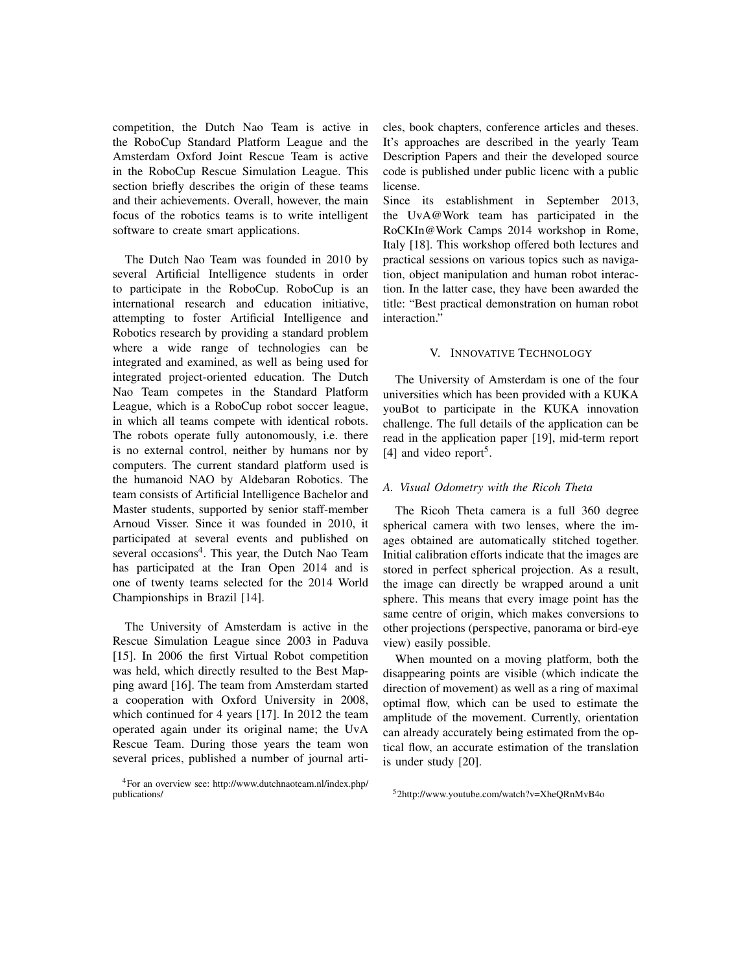competition, the Dutch Nao Team is active in the RoboCup Standard Platform League and the Amsterdam Oxford Joint Rescue Team is active in the RoboCup Rescue Simulation League. This section briefly describes the origin of these teams and their achievements. Overall, however, the main focus of the robotics teams is to write intelligent software to create smart applications.

The Dutch Nao Team was founded in 2010 by several Artificial Intelligence students in order to participate in the RoboCup. RoboCup is an international research and education initiative, attempting to foster Artificial Intelligence and Robotics research by providing a standard problem where a wide range of technologies can be integrated and examined, as well as being used for integrated project-oriented education. The Dutch Nao Team competes in the Standard Platform League, which is a RoboCup robot soccer league, in which all teams compete with identical robots. The robots operate fully autonomously, i.e. there is no external control, neither by humans nor by computers. The current standard platform used is the humanoid NAO by Aldebaran Robotics. The team consists of Artificial Intelligence Bachelor and Master students, supported by senior staff-member Arnoud Visser. Since it was founded in 2010, it participated at several events and published on several occasions<sup>4</sup>. This year, the Dutch Nao Team has participated at the Iran Open 2014 and is one of twenty teams selected for the 2014 World Championships in Brazil [14].

The University of Amsterdam is active in the Rescue Simulation League since 2003 in Paduva [15]. In 2006 the first Virtual Robot competition was held, which directly resulted to the Best Mapping award [16]. The team from Amsterdam started a cooperation with Oxford University in 2008, which continued for 4 years [17]. In 2012 the team operated again under its original name; the UvA Rescue Team. During those years the team won several prices, published a number of journal arti-

<sup>4</sup>For an overview see: http://www.dutchnaoteam.nl/index.php/ publications/

cles, book chapters, conference articles and theses. It's approaches are described in the yearly Team Description Papers and their the developed source code is published under public licenc with a public license.

Since its establishment in September 2013, the UvA@Work team has participated in the RoCKIn@Work Camps 2014 workshop in Rome, Italy [18]. This workshop offered both lectures and practical sessions on various topics such as navigation, object manipulation and human robot interaction. In the latter case, they have been awarded the title: "Best practical demonstration on human robot interaction."

#### V. INNOVATIVE TECHNOLOGY

The University of Amsterdam is one of the four universities which has been provided with a KUKA youBot to participate in the KUKA innovation challenge. The full details of the application can be read in the application paper [19], mid-term report [4] and video report<sup>5</sup>.

#### *A. Visual Odometry with the Ricoh Theta*

The Ricoh Theta camera is a full 360 degree spherical camera with two lenses, where the images obtained are automatically stitched together. Initial calibration efforts indicate that the images are stored in perfect spherical projection. As a result, the image can directly be wrapped around a unit sphere. This means that every image point has the same centre of origin, which makes conversions to other projections (perspective, panorama or bird-eye view) easily possible.

When mounted on a moving platform, both the disappearing points are visible (which indicate the direction of movement) as well as a ring of maximal optimal flow, which can be used to estimate the amplitude of the movement. Currently, orientation can already accurately being estimated from the optical flow, an accurate estimation of the translation is under study [20].

<sup>5</sup>2http://www.youtube.com/watch?v=XheQRnMvB4o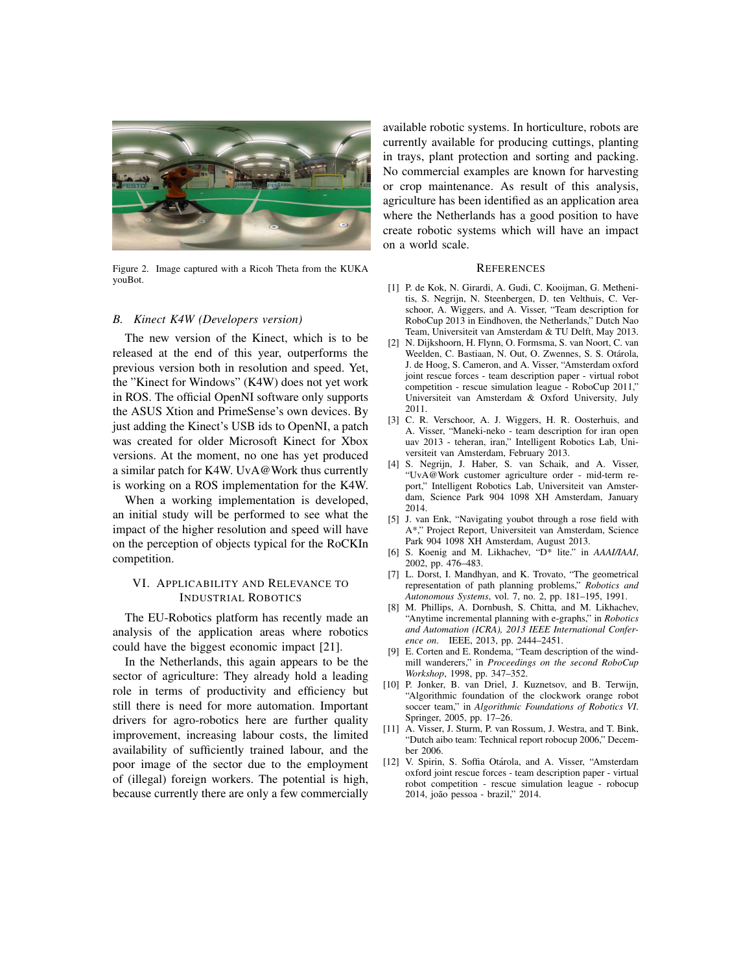

Figure 2. Image captured with a Ricoh Theta from the KUKA youBot.

#### *B. Kinect K4W (Developers version)*

The new version of the Kinect, which is to be released at the end of this year, outperforms the previous version both in resolution and speed. Yet, the "Kinect for Windows" (K4W) does not yet work in ROS. The official OpenNI software only supports the ASUS Xtion and PrimeSense's own devices. By just adding the Kinect's USB ids to OpenNI, a patch was created for older Microsoft Kinect for Xbox versions. At the moment, no one has yet produced a similar patch for K4W. UvA@Work thus currently is working on a ROS implementation for the K4W.

When a working implementation is developed, an initial study will be performed to see what the impact of the higher resolution and speed will have on the perception of objects typical for the RoCKIn competition.

#### VI. APPLICABILITY AND RELEVANCE TO INDUSTRIAL ROBOTICS

The EU-Robotics platform has recently made an analysis of the application areas where robotics could have the biggest economic impact [21].

In the Netherlands, this again appears to be the sector of agriculture: They already hold a leading role in terms of productivity and efficiency but still there is need for more automation. Important drivers for agro-robotics here are further quality improvement, increasing labour costs, the limited availability of sufficiently trained labour, and the poor image of the sector due to the employment of (illegal) foreign workers. The potential is high, because currently there are only a few commercially available robotic systems. In horticulture, robots are currently available for producing cuttings, planting in trays, plant protection and sorting and packing. No commercial examples are known for harvesting or crop maintenance. As result of this analysis, agriculture has been identified as an application area where the Netherlands has a good position to have create robotic systems which will have an impact on a world scale.

#### **REFERENCES**

- [1] P. de Kok, N. Girardi, A. Gudi, C. Kooijman, G. Methenitis, S. Negrijn, N. Steenbergen, D. ten Velthuis, C. Verschoor, A. Wiggers, and A. Visser, "Team description for RoboCup 2013 in Eindhoven, the Netherlands," Dutch Nao Team, Universiteit van Amsterdam & TU Delft, May 2013.
- [2] N. Dijkshoorn, H. Flynn, O. Formsma, S. van Noort, C. van Weelden, C. Bastiaan, N. Out, O. Zwennes, S. S. Otárola, J. de Hoog, S. Cameron, and A. Visser, "Amsterdam oxford joint rescue forces - team description paper - virtual robot competition - rescue simulation league - RoboCup 2011," Universiteit van Amsterdam & Oxford University, July 2011.
- [3] C. R. Verschoor, A. J. Wiggers, H. R. Oosterhuis, and A. Visser, "Maneki-neko - team description for iran open uav 2013 - teheran, iran," Intelligent Robotics Lab, Universiteit van Amsterdam, February 2013.
- [4] S. Negrijn, J. Haber, S. van Schaik, and A. Visser, "UvA@Work customer agriculture order - mid-term report," Intelligent Robotics Lab, Universiteit van Amsterdam, Science Park 904 1098 XH Amsterdam, January 2014.
- [5] J. van Enk, "Navigating youbot through a rose field with A\*," Project Report, Universiteit van Amsterdam, Science Park 904 1098 XH Amsterdam, August 2013.
- [6] S. Koenig and M. Likhachev, "D\* lite." in *AAAI/IAAI*, 2002, pp. 476–483.
- [7] L. Dorst, I. Mandhyan, and K. Trovato, "The geometrical representation of path planning problems," *Robotics and Autonomous Systems*, vol. 7, no. 2, pp. 181–195, 1991.
- [8] M. Phillips, A. Dornbush, S. Chitta, and M. Likhachev, "Anytime incremental planning with e-graphs," in *Robotics and Automation (ICRA), 2013 IEEE International Conference on*. IEEE, 2013, pp. 2444–2451.
- [9] E. Corten and E. Rondema, "Team description of the windmill wanderers," in *Proceedings on the second RoboCup Workshop*, 1998, pp. 347–352.
- [10] P. Jonker, B. van Driel, J. Kuznetsov, and B. Terwijn, "Algorithmic foundation of the clockwork orange robot soccer team," in *Algorithmic Foundations of Robotics VI*. Springer, 2005, pp. 17–26.
- [11] A. Visser, J. Sturm, P. van Rossum, J. Westra, and T. Bink, "Dutch aibo team: Technical report robocup 2006," December 2006.
- [12] V. Spirin, S. Soffia Otárola, and A. Visser, "Amsterdam oxford joint rescue forces - team description paper - virtual robot competition - rescue simulation league - robocup 2014, joão pessoa - brazil," 2014.